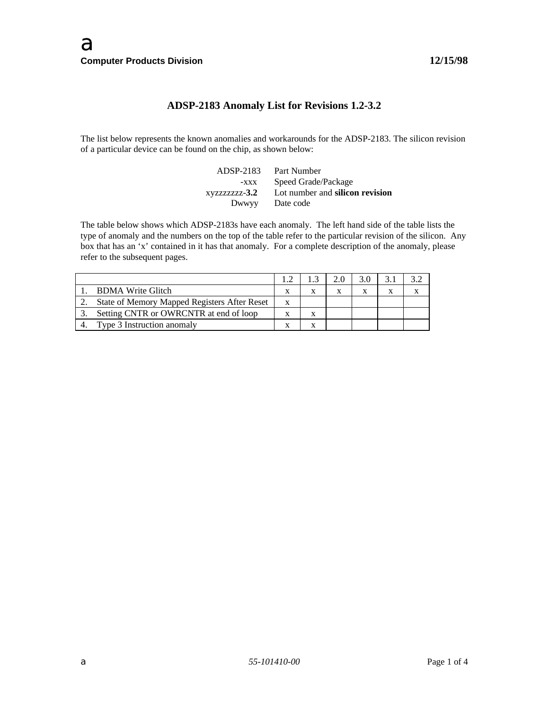# **ADSP-2183 Anomaly List for Revisions 1.2-3.2**

The list below represents the known anomalies and workarounds for the ADSP-2183. The silicon revision of a particular device can be found on the chip, as shown below:

| ADSP-2183 | Part Number                                   |
|-----------|-----------------------------------------------|
| $-XXX$    | Speed Grade/Package                           |
|           | xyzzzzzzz-3.2 Lot number and silicon revision |
| Dwwyy     | Date code                                     |

The table below shows which ADSP-2183s have each anomaly. The left hand side of the table lists the type of anomaly and the numbers on the top of the table refer to the particular revision of the silicon. Any box that has an 'x' contained in it has that anomaly. For a complete description of the anomaly, please refer to the subsequent pages.

| <b>BDMA Write Glitch</b>                     |   |  |  |  |
|----------------------------------------------|---|--|--|--|
| State of Memory Mapped Registers After Reset | X |  |  |  |
| Setting CNTR or OWRCNTR at end of loop       |   |  |  |  |
| Type 3 Instruction anomaly                   |   |  |  |  |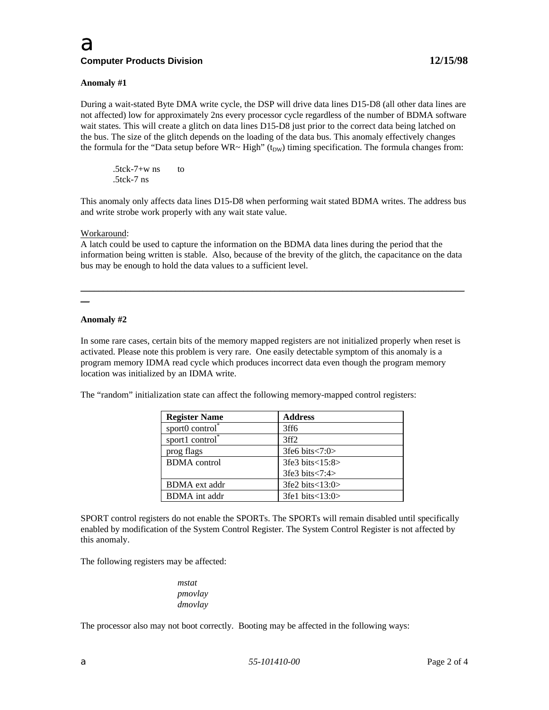## **Anomaly #1**

During a wait-stated Byte DMA write cycle, the DSP will drive data lines D15-D8 (all other data lines are not affected) low for approximately 2ns every processor cycle regardless of the number of BDMA software wait states. This will create a glitch on data lines D15-D8 just prior to the correct data being latched on the bus. The size of the glitch depends on the loading of the data bus. This anomaly effectively changes the formula for the "Data setup before  $WR \sim High$ " (t<sub>DW</sub>) timing specification. The formula changes from:

 $.5$ tck-7+w ns to .5tck-7 ns

This anomaly only affects data lines D15-D8 when performing wait stated BDMA writes. The address bus and write strobe work properly with any wait state value.

#### Workaround:

A latch could be used to capture the information on the BDMA data lines during the period that the information being written is stable. Also, because of the brevity of the glitch, the capacitance on the data bus may be enough to hold the data values to a sufficient level.

\_\_\_\_\_\_\_\_\_\_\_\_\_\_\_\_\_\_\_\_\_\_\_\_\_\_\_\_\_\_\_\_\_\_\_\_\_\_\_\_\_\_\_\_\_\_\_\_\_\_\_\_\_\_\_\_\_\_\_\_\_\_\_\_\_\_\_\_\_\_\_\_\_\_\_\_\_\_\_\_\_\_\_\_\_

 $\overline{a}$ 

### **Anomaly #2**

In some rare cases, certain bits of the memory mapped registers are not initialized properly when reset is activated. Please note this problem is very rare. One easily detectable symptom of this anomaly is a program memory IDMA read cycle which produces incorrect data even though the program memory location was initialized by an IDMA write.

The "random" initialization state can affect the following memory-mapped control registers:

| <b>Register Name</b>           | <b>Address</b>                  |
|--------------------------------|---------------------------------|
| sport $0$ control <sup>*</sup> | 3ff6                            |
| sport1 control*                | 3ff2                            |
| prog flags                     | 3fe6 bits $\langle 7:0 \rangle$ |
| <b>BDMA</b> control            | 3fe3 bits < 15:8>               |
|                                | 3fe3 bits < 7:4>                |
| <b>BDMA</b> ext addr           | 3fe2 bits < 13:0>               |
| <b>BDMA</b> int addr           | 3fe1 bits $<$ 13:0 $>$          |

SPORT control registers do not enable the SPORTs. The SPORTs will remain disabled until specifically enabled by modification of the System Control Register. The System Control Register is not affected by this anomaly.

The following registers may be affected:

*mstat pmovlay dmovlay*

The processor also may not boot correctly. Booting may be affected in the following ways: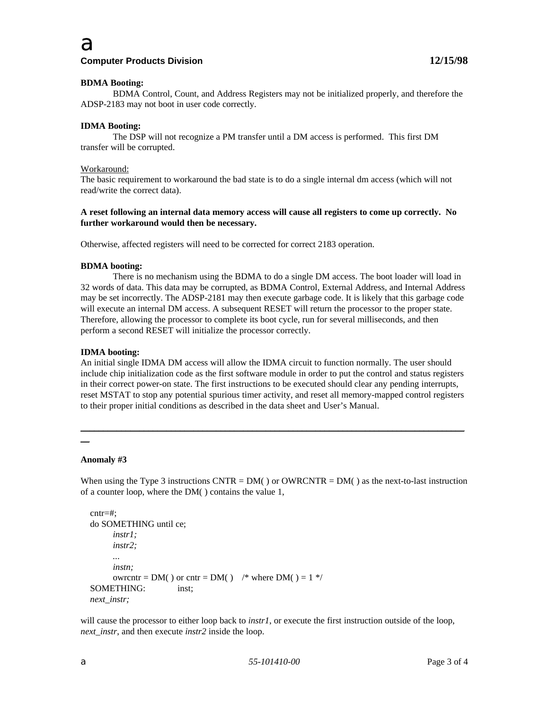

## **Computer Products Division**

## **BDMA Booting:**

BDMA Control, Count, and Address Registers may not be initialized properly, and therefore the ADSP-2183 may not boot in user code correctly.

## **IDMA Booting:**

The DSP will not recognize a PM transfer until a DM access is performed. This first DM transfer will be corrupted.

### Workaround:

The basic requirement to workaround the bad state is to do a single internal dm access (which will not read/write the correct data).

## **A reset following an internal data memory access will cause all registers to come up correctly. No further workaround would then be necessary.**

Otherwise, affected registers will need to be corrected for correct 2183 operation.

### **BDMA booting:**

There is no mechanism using the BDMA to do a single DM access. The boot loader will load in 32 words of data. This data may be corrupted, as BDMA Control, External Address, and Internal Address may be set incorrectly. The ADSP-2181 may then execute garbage code. It is likely that this garbage code will execute an internal DM access. A subsequent RESET will return the processor to the proper state. Therefore, allowing the processor to complete its boot cycle, run for several milliseconds, and then perform a second RESET will initialize the processor correctly.

### **IDMA booting:**

An initial single IDMA DM access will allow the IDMA circuit to function normally. The user should include chip initialization code as the first software module in order to put the control and status registers in their correct power-on state. The first instructions to be executed should clear any pending interrupts, reset MSTAT to stop any potential spurious timer activity, and reset all memory-mapped control registers to their proper initial conditions as described in the data sheet and User's Manual.

\_\_\_\_\_\_\_\_\_\_\_\_\_\_\_\_\_\_\_\_\_\_\_\_\_\_\_\_\_\_\_\_\_\_\_\_\_\_\_\_\_\_\_\_\_\_\_\_\_\_\_\_\_\_\_\_\_\_\_\_\_\_\_\_\_\_\_\_\_\_\_\_\_\_\_\_\_\_\_\_\_\_\_\_\_

### **Anomaly #3**

 $\overline{a}$ 

When using the Type 3 instructions CNTR =  $DM()$  or OWRCNTR =  $DM()$  as the next-to-last instruction of a counter loop, where the DM( ) contains the value 1,

```
 cntr=#;
do SOMETHING until ce;
      instr1;
      instr2;
      ...
      instn;
      owrcntr = DM() or cntr = DM() \frac{\text{#}}{\text{#}} where DM() = 1 \frac{\text{#}}{\text{#}} SOMETHING: inst;
next_instr;
```
will cause the processor to either loop back to *instr1*, or execute the first instruction outside of the loop, *next\_instr*, and then execute *instr2* inside the loop.